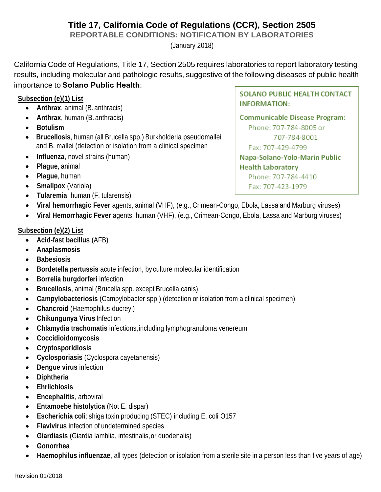# **Title 17, California Code of Regulations (CCR), Section 2505**

**REPORTABLE CONDITIONS: NOTIFICATION BY LABORATORIES**

(January 2018)

California Code of Regulations, Title 17, Section 2505 requires laboratories to report laboratory testing results, including molecular and pathologic results, suggestive of the following diseases of public health importance to **Solano Public Health**:

## **Subsection (e)(1) List**

- **Anthrax**, animal (B. anthracis)
- **Anthrax**, human (B. anthracis)
- **Botulism**
- **Brucellosis**, human (all Brucella spp.) Burkholderia pseudomallei and B. mallei (detection or isolation from a clinical specimen
- **Influenza**, novel strains (human)
- **Plague**, animal
- **Plague**, human
- **Smallpox** (Variola)
- **Tularemia**, human (F. tularensis)
- **Viral hemorrhagic Fever** agents, animal (VHF), (e.g., Crimean-Congo, Ebola, Lassa and Marburg viruses)
- **Viral Hemorrhagic Fever** agents, human (VHF), (e.g., Crimean-Congo, Ebola, Lassa and Marburg viruses)

## **Subsection (e)(2) List**

- **Acid-fast bacillus** (AFB)
- **Anaplasmosis**
- **Babesiosis**
- **Bordetella pertussis** acute infection, by culture molecular identification
- **Borrelia burgdorferi** infection
- **Brucellosis**, animal (Brucella spp. except Brucella canis)
- **Campylobacteriosis** (Campylobacter spp.) (detection or isolation from a clinical specimen)
- **Chancroid** (Haemophilus ducreyi)
- **Chikungunya Virus** Infection
- **Chlamydia trachomatis** infections,including lymphogranuloma venereum
- **Coccidioidomycosis**
- **Cryptosporidiosis**
- **Cyclosporiasis** (Cyclospora cayetanensis)
- **Dengue virus** infection
- **Diphtheria**
- **Ehrlichiosis**
- **Encephalitis**, arboviral
- **Entamoebe histolytica** (Not E. dispar)
- **Escherichia coli**: shiga toxin producing (STEC) including E. coli O157
- **Flavivirus** infection of undetermined species
- **Giardiasis** (Giardia lamblia, intestinalis,or duodenalis)
- **Gonorrhea**
- **Haemophilus influenzae**, all types (detection or isolation from a sterile site in a person less than five years of age)

Revision 01/2018

SOLANO PUBLIC HEALTH CONTACT **INFORMATION:** 

Communicable Disease Program: Phone: 707-784-8005 or 707-784-8001 Fax: 707-429-4799 Napa-Solano-Yolo-Marin Public **Health Laboratory** Phone: 707-784-4410 Fax: 707-423-1979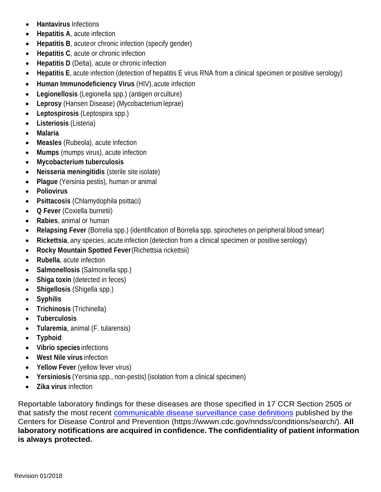- **Hantavirus** Infections
- **Hepatitis A**, acute infection
- **Hepatitis B**, acuteor chronic infection (specify gender)
- **Hepatitis C**, acute or chronic infection
- **Hepatitis D** (Delta), acute or chronic infection
- **Hepatitis E**, acute infection (detection of hepatitis E virus RNA from a clinical specimen or positive serology)
- **Human Immunodeficiency Virus** (HIV),acute infection
- **Legionellosis** (Legionella spp.) (antigen or culture)
- **Leprosy** (Hansen Disease) (Mycobacteriumleprae)
- **Leptospirosis** (Leptospira spp.)
- **Listeriosis** (Listeria)
- **Malaria**
- **Measles** (Rubeola), acute infection
- **Mumps** (mumps virus), acute infection
- **Mycobacterium tuberculosis**
- **Neisseria meningitidis** (sterile site isolate)
- **Plague** (Yersinia pestis), human or animal
- **Poliovirus**
- **Psittacosis** (Chlamydophila psittaci)
- **Q Fever** (Coxiella burnetii)
- **Rabies**, animal or human
- **Relapsing Fever** (Borrelia spp.) (identification of Borrelia spp. spirochetes on peripheral blood smear)
- **Rickettsia**, any species, acute infection (detection from a clinical specimen or positive serology)
- **Rocky Mountain Spotted Fever**(Richettsia rickettsii)
- **Rubella**, acute infection
- **Salmonellosis** (Salmonella spp.)
- **Shiga toxin** (detected in feces)
- **Shigellosis** (Shigella spp.)
- **Syphilis**
- **Trichinosis** (Trichinella)
- **Tuberculosis**
- **Tularemia**, animal (F. tularensis)
- **Typhoid**
- **Vibrio species** infections
- **West Nile virus** infection
- **Yellow Fever** (yellow fever virus)
- **Yersiniosis** (Yersinia spp., non-pestis) (isolation from a clinical specimen)
- **Zika virus** infection

Reportable laboratory findings for these diseases are those specified in 17 CCR Section 2505 or that satisfy the most recent [communicable disease surveillance case definitions](https://wwwn.cdc.gov/nndss/conditions/search/) published by the Centers for Disease Control and Prevention (https://wwwn.cdc.gov/nndss/conditions/search/). **All laboratory notifications are acquired in confidence. The confidentiality of patient information is always protected.**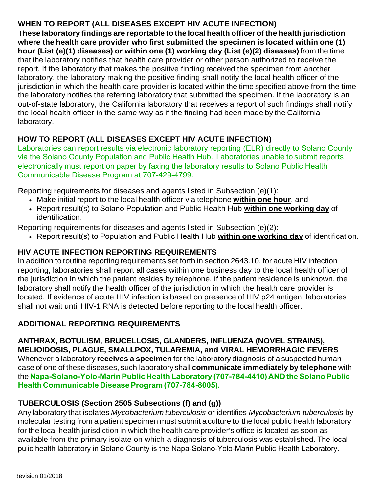## **WHEN TO REPORT (ALL DISEASES EXCEPT HIV ACUTE INFECTION)**

**These laboratory findings are reportable to the local health officer of the health jurisdiction where the health care provider who first submitted the specimen is located within one (1) hour (List (e)(1) diseases) or within one (1) working day (List (e)(2) diseases)**from the time that the laboratory notifies that health care provider or other person authorized to receive the report. If the laboratory that makes the positive finding received the specimen from another laboratory, the laboratory making the positive finding shall notify the local health officer of the jurisdiction in which the health care provider is located within the time specified above from the time the laboratory notifies the referring laboratory that submitted the specimen. If the laboratory is an out-of-state laboratory, the California laboratory that receives a report of such findings shall notify the local health officer in the same way as if the finding had been made by the California laboratory.

## **HOW TO REPORT (ALL DISEASES EXCEPT HIV ACUTE INFECTION)**

Laboratories can report results via electronic laboratory reporting (ELR) directly to Solano County via the Solano County Population and Public Health Hub. Laboratories unable to submit reports electronically must report on paper by faxing the laboratory results to Solano Public He[alth](https://www.cdph.ca.gov/Programs/CID/DCDC/Pages/CalREDIE-ELR.aspx) [Communicable](https://www.cdph.ca.gov/Programs/CID/DCDC/Pages/CalREDIE-ELR.aspx) Disease Program at 707-429-4799.

Reporting requirements for diseases and agents listed in Subsection (e)(1):

- Make initial report to the local health officer via telephone **within one hour**, and
- Report result(s) to Solano Population and Public Health Hub **within one working day** of identification.

Reporting requirements for diseases and agents listed in Subsection (e)(2):

• Report result(s) to Population and Public Health Hub **within one working day** of identification.

## **HIV ACUTE INFECTION REPORTING REQUIREMENTS**

In addition to routine reporting requirements set forth in section 2643.10, for acute HIV infection reporting, laboratories shall report all cases within one business day to the local health officer of the jurisdiction in which the patient resides by telephone. If the patient residence is unknown, the laboratory shall notify the health officer of the jurisdiction in which the health care provider is located. If evidence of acute HIV infection is based on presence of HIV p24 antigen, laboratories shall not wait until HIV-1 RNA is detected before reporting to the local health officer.

## **ADDITIONAL REPORTING REQUIREMENTS**

**ANTHRAX, BOTULISM, BRUCELLOSIS, GLANDERS, INFLUENZA (NOVEL STRAINS), MELIOIDOSIS, PLAGUE, SMALLPOX, TULAREMIA, and VIRAL HEMORRHAGIC FEVERS** Whenever a laboratory **receives a specimen** for the laboratory diagnosis of a suspected human case of one of these diseases, such laboratory shall **communicate immediately by telephone** with the **Napa-Solano-Yolo-Marin Public Health Laboratory (707-784-4410) AND the Solano Public Health Communicable Disease Program (707-784-8005).** 

## **TUBERCULOSIS (Section 2505 Subsections (f) and (g))**

Any laboratory that isolates *Mycobacterium tuberculosis* or identifies *Mycobacterium tuberculosis* by molecular testing from a patient specimen must submit a culture to the local public health laboratory for the local health jurisdiction in which the health care provider's office is located as soon as available from the primary isolate on which a diagnosis of tuberculosis was established. The local pulic health laboratory in Solano County is the Napa-Solano-Yolo-Marin Public Health Laboratory.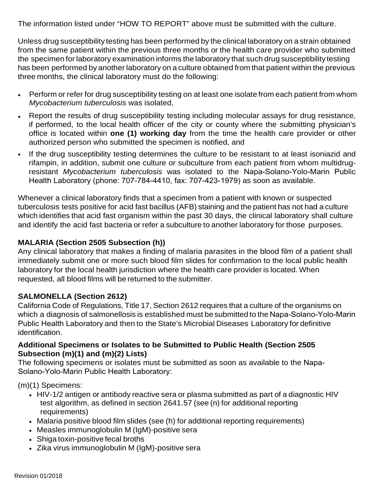The information listed under "HOW TO REPORT" above must be submitted with the culture.

Unless drug susceptibility testing has been performed by the clinical laboratory on a strain obtained from the same patient within the previous three months or the health care provider who submitted the specimen for laboratory examination informs the laboratory that such drug susceptibility testing has been performed by another laboratory on a culture obtained from that patient within the previous three months, the clinical laboratory must do the following:

- Perform or refer for drug susceptibility testing on at least one isolate from each patient from whom *Mycobacterium tuberculosis* was isolated,
- Report the results of drug susceptibility testing including molecular assays for drug resistance, if performed, to the local health officer of the city or county where the submitting physician's office is located within **one (1) working day** from the time the health care provider or other authorized person who submitted the specimen is notified, and
- If the drug susceptibility testing determines the culture to be resistant to at least isoniazid and rifampin, in addition, submit one culture or subculture from each patient from whom multidrugresistant *Mycobacterium tuberculosis* was isolated to the Napa-Solano-Yolo-Marin Public Health Laboratory (phone: 707-784-4410, fax: 707-423-1979) as soon as available.

Whenever a clinical laboratory finds that a specimen from a patient with known or suspected tuberculosis tests positive for acid fast bacillus (AFB) staining and the patient has not had a culture which identifies that acid fast organism within the past 30 days, the clinical laboratory shall culture and identify the acid fast bacteria or refer a subculture to another laboratory for those purposes.

### **MALARIA (Section 2505 Subsection (h))**

Any clinical laboratory that makes a finding of malaria parasites in the blood film of a patient shall immediately submit one or more such blood film slides for confirmation to the local public health laboratory for the local health jurisdiction where the health care provider is located. When requested, all blood films will be returned to the submitter.

### **SALMONELLA (Section 2612)**

California Code of Regulations, Title 17, Section 2612 requires that a culture of the organisms on which a diagnosis of salmonellosis is established must be submitted to the Napa-Solano-Yolo-Marin Public Health Laboratory and then to the State's Microbial Diseases Laboratory for definitive identification.

#### **Additional Specimens or Isolates to be Submitted to Public Health (Section 2505 Subsection (m)(1) and (m)(2) Lists)**

The following specimens or isolates must be submitted as soon as available to the Napa-Solano-Yolo-Marin Public Health Laboratory:

(m)(1) Specimens:

- HIV-1/2 antigen or antibody reactive sera or plasma submitted as part of a diagnostic HIV test algorithm, as defined in section 2641.57 (see (n) for additional reporting requirements)
- Malaria positive blood film slides (see (h) for additional reporting requirements)
- Measles immunoglobulin M (IgM)-positive sera
- Shiga toxin-positive fecal broths
- Zika virus immunoglobulin M (IgM)-positive sera